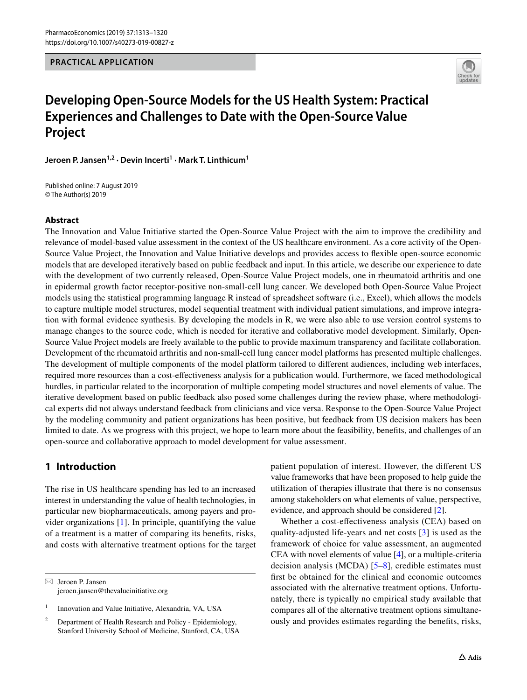**PRACTICAL APPLICATION**



# **Developing Open‑Source Models for the US Health System: Practical Experiences and Challenges to Date with the Open‑Source Value Project**

Jeroen P. Jansen<sup>1,2</sup> · Devin Incerti<sup>1</sup> · Mark T. Linthicum<sup>1</sup>

Published online: 7 August 2019 © The Author(s) 2019

#### **Abstract**

The Innovation and Value Initiative started the Open-Source Value Project with the aim to improve the credibility and relevance of model-based value assessment in the context of the US healthcare environment. As a core activity of the Open-Source Value Project, the Innovation and Value Initiative develops and provides access to fexible open-source economic models that are developed iteratively based on public feedback and input. In this article, we describe our experience to date with the development of two currently released, Open-Source Value Project models, one in rheumatoid arthritis and one in epidermal growth factor receptor-positive non-small-cell lung cancer. We developed both Open-Source Value Project models using the statistical programming language R instead of spreadsheet software (i.e., Excel), which allows the models to capture multiple model structures, model sequential treatment with individual patient simulations, and improve integration with formal evidence synthesis. By developing the models in R, we were also able to use version control systems to manage changes to the source code, which is needed for iterative and collaborative model development. Similarly, Open-Source Value Project models are freely available to the public to provide maximum transparency and facilitate collaboration. Development of the rheumatoid arthritis and non-small-cell lung cancer model platforms has presented multiple challenges. The development of multiple components of the model platform tailored to diferent audiences, including web interfaces, required more resources than a cost-efectiveness analysis for a publication would. Furthermore, we faced methodological hurdles, in particular related to the incorporation of multiple competing model structures and novel elements of value. The iterative development based on public feedback also posed some challenges during the review phase, where methodological experts did not always understand feedback from clinicians and vice versa. Response to the Open-Source Value Project by the modeling community and patient organizations has been positive, but feedback from US decision makers has been limited to date. As we progress with this project, we hope to learn more about the feasibility, benefts, and challenges of an open-source and collaborative approach to model development for value assessment.

## **1 Introduction**

The rise in US healthcare spending has led to an increased interest in understanding the value of health technologies, in particular new biopharmaceuticals, among payers and provider organizations [[1\]](#page-6-0). In principle, quantifying the value of a treatment is a matter of comparing its benefts, risks, and costs with alternative treatment options for the target

 $\boxtimes$  Jeroen P. Jansen jeroen.jansen@thevalueinitiative.org patient population of interest. However, the diferent US value frameworks that have been proposed to help guide the utilization of therapies illustrate that there is no consensus among stakeholders on what elements of value, perspective, evidence, and approach should be considered [\[2](#page-6-1)].

Whether a cost-efectiveness analysis (CEA) based on quality-adjusted life-years and net costs [[3](#page-6-2)] is used as the framework of choice for value assessment, an augmented CEA with novel elements of value [\[4](#page-6-3)], or a multiple-criteria decision analysis (MCDA) [[5–](#page-6-4)[8](#page-6-5)], credible estimates must frst be obtained for the clinical and economic outcomes associated with the alternative treatment options. Unfortunately, there is typically no empirical study available that compares all of the alternative treatment options simultaneously and provides estimates regarding the benefts, risks,

<sup>&</sup>lt;sup>1</sup> Innovation and Value Initiative, Alexandria, VA, USA

 $2$  Department of Health Research and Policy - Epidemiology, Stanford University School of Medicine, Stanford, CA, USA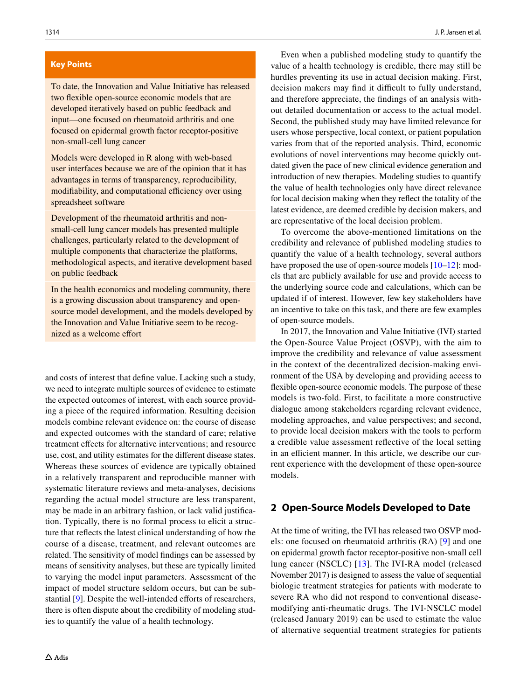To date, the Innovation and Value Initiative has released two fexible open-source economic models that are developed iteratively based on public feedback and input—one focused on rheumatoid arthritis and one focused on epidermal growth factor receptor-positive non-small-cell lung cancer

Models were developed in R along with web-based user interfaces because we are of the opinion that it has advantages in terms of transparency, reproducibility, modifiability, and computational efficiency over using spreadsheet software

Development of the rheumatoid arthritis and nonsmall-cell lung cancer models has presented multiple challenges, particularly related to the development of multiple components that characterize the platforms, methodological aspects, and iterative development based on public feedback

In the health economics and modeling community, there is a growing discussion about transparency and opensource model development, and the models developed by the Innovation and Value Initiative seem to be recognized as a welcome effort

and costs of interest that defne value. Lacking such a study, we need to integrate multiple sources of evidence to estimate the expected outcomes of interest, with each source providing a piece of the required information. Resulting decision models combine relevant evidence on: the course of disease and expected outcomes with the standard of care; relative treatment efects for alternative interventions; and resource use, cost, and utility estimates for the diferent disease states. Whereas these sources of evidence are typically obtained in a relatively transparent and reproducible manner with systematic literature reviews and meta-analyses, decisions regarding the actual model structure are less transparent, may be made in an arbitrary fashion, or lack valid justifcation. Typically, there is no formal process to elicit a structure that refects the latest clinical understanding of how the course of a disease, treatment, and relevant outcomes are related. The sensitivity of model fndings can be assessed by means of sensitivity analyses, but these are typically limited to varying the model input parameters. Assessment of the impact of model structure seldom occurs, but can be sub-stantial [[9\]](#page-6-6). Despite the well-intended efforts of researchers, there is often dispute about the credibility of modeling studies to quantify the value of a health technology.

Even when a published modeling study to quantify the value of a health technology is credible, there may still be hurdles preventing its use in actual decision making. First, decision makers may find it difficult to fully understand, and therefore appreciate, the fndings of an analysis without detailed documentation or access to the actual model. Second, the published study may have limited relevance for users whose perspective, local context, or patient population varies from that of the reported analysis. Third, economic evolutions of novel interventions may become quickly outdated given the pace of new clinical evidence generation and introduction of new therapies. Modeling studies to quantify the value of health technologies only have direct relevance for local decision making when they refect the totality of the latest evidence, are deemed credible by decision makers, and are representative of the local decision problem.

To overcome the above-mentioned limitations on the credibility and relevance of published modeling studies to quantify the value of a health technology, several authors have proposed the use of open-source models [\[10–](#page-6-7)[12\]](#page-6-8): models that are publicly available for use and provide access to the underlying source code and calculations, which can be updated if of interest. However, few key stakeholders have an incentive to take on this task, and there are few examples of open-source models.

In 2017, the Innovation and Value Initiative (IVI) started the Open-Source Value Project (OSVP), with the aim to improve the credibility and relevance of value assessment in the context of the decentralized decision-making environment of the USA by developing and providing access to fexible open-source economic models. The purpose of these models is two-fold. First, to facilitate a more constructive dialogue among stakeholders regarding relevant evidence, modeling approaches, and value perspectives; and second, to provide local decision makers with the tools to perform a credible value assessment refective of the local setting in an efficient manner. In this article, we describe our current experience with the development of these open-source models.

# **2 Open‑Source Models Developed to Date**

At the time of writing, the IVI has released two OSVP models: one focused on rheumatoid arthritis (RA) [[9\]](#page-6-6) and one on epidermal growth factor receptor-positive non-small cell lung cancer (NSCLC) [\[13\]](#page-6-9). The IVI-RA model (released November 2017) is designed to assess the value of sequential biologic treatment strategies for patients with moderate to severe RA who did not respond to conventional diseasemodifying anti-rheumatic drugs. The IVI-NSCLC model (released January 2019) can be used to estimate the value of alternative sequential treatment strategies for patients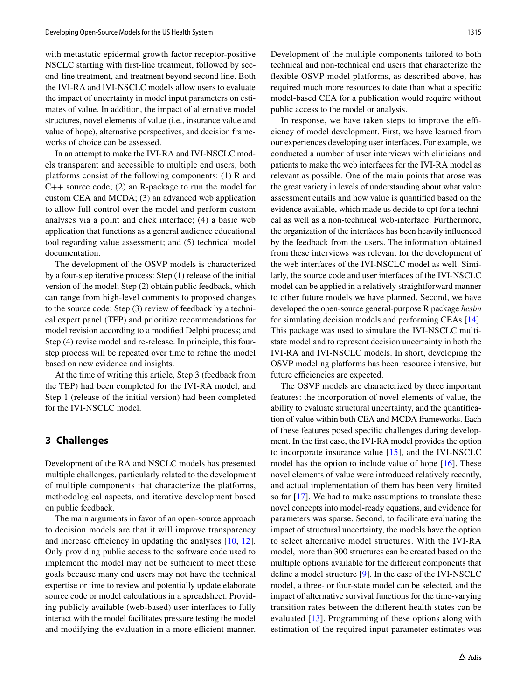with metastatic epidermal growth factor receptor-positive NSCLC starting with frst-line treatment, followed by second-line treatment, and treatment beyond second line. Both the IVI-RA and IVI-NSCLC models allow users to evaluate the impact of uncertainty in model input parameters on estimates of value. In addition, the impact of alternative model structures, novel elements of value (i.e., insurance value and value of hope), alternative perspectives, and decision frameworks of choice can be assessed.

In an attempt to make the IVI-RA and IVI-NSCLC models transparent and accessible to multiple end users, both platforms consist of the following components: (1) R and C++ source code; (2) an R-package to run the model for custom CEA and MCDA; (3) an advanced web application to allow full control over the model and perform custom analyses via a point and click interface; (4) a basic web application that functions as a general audience educational tool regarding value assessment; and (5) technical model documentation.

The development of the OSVP models is characterized by a four-step iterative process: Step (1) release of the initial version of the model; Step (2) obtain public feedback, which can range from high-level comments to proposed changes to the source code; Step (3) review of feedback by a technical expert panel (TEP) and prioritize recommendations for model revision according to a modifed Delphi process; and Step (4) revise model and re-release. In principle, this fourstep process will be repeated over time to refne the model based on new evidence and insights.

At the time of writing this article, Step 3 (feedback from the TEP) had been completed for the IVI-RA model, and Step 1 (release of the initial version) had been completed for the IVI-NSCLC model.

## **3 Challenges**

Development of the RA and NSCLC models has presented multiple challenges, particularly related to the development of multiple components that characterize the platforms, methodological aspects, and iterative development based on public feedback.

The main arguments in favor of an open-source approach to decision models are that it will improve transparency and increase efficiency in updating the analyses  $[10, 12]$  $[10, 12]$  $[10, 12]$  $[10, 12]$  $[10, 12]$ . Only providing public access to the software code used to implement the model may not be sufficient to meet these goals because many end users may not have the technical expertise or time to review and potentially update elaborate source code or model calculations in a spreadsheet. Providing publicly available (web-based) user interfaces to fully interact with the model facilitates pressure testing the model and modifying the evaluation in a more efficient manner.

Development of the multiple components tailored to both technical and non-technical end users that characterize the fexible OSVP model platforms, as described above, has required much more resources to date than what a specifc model-based CEA for a publication would require without public access to the model or analysis.

In response, we have taken steps to improve the efficiency of model development. First, we have learned from our experiences developing user interfaces. For example, we conducted a number of user interviews with clinicians and patients to make the web interfaces for the IVI-RA model as relevant as possible. One of the main points that arose was the great variety in levels of understanding about what value assessment entails and how value is quantifed based on the evidence available, which made us decide to opt for a technical as well as a non-technical web-interface. Furthermore, the organization of the interfaces has been heavily infuenced by the feedback from the users. The information obtained from these interviews was relevant for the development of the web interfaces of the IVI-NSCLC model as well. Similarly, the source code and user interfaces of the IVI-NSCLC model can be applied in a relatively straightforward manner to other future models we have planned. Second, we have developed the open-source general-purpose R package *hesim* for simulating decision models and performing CEAs [\[14](#page-6-10)]. This package was used to simulate the IVI-NSCLC multistate model and to represent decision uncertainty in both the IVI-RA and IVI-NSCLC models. In short, developing the OSVP modeling platforms has been resource intensive, but future efficiencies are expected.

The OSVP models are characterized by three important features: the incorporation of novel elements of value, the ability to evaluate structural uncertainty, and the quantifcation of value within both CEA and MCDA frameworks. Each of these features posed specifc challenges during development. In the frst case, the IVI-RA model provides the option to incorporate insurance value [[15](#page-6-11)], and the IVI-NSCLC model has the option to include value of hope [[16](#page-6-12)]. These novel elements of value were introduced relatively recently, and actual implementation of them has been very limited so far [\[17](#page-6-13)]. We had to make assumptions to translate these novel concepts into model-ready equations, and evidence for parameters was sparse. Second, to facilitate evaluating the impact of structural uncertainty, the models have the option to select alternative model structures. With the IVI-RA model, more than 300 structures can be created based on the multiple options available for the diferent components that defne a model structure [\[9](#page-6-6)]. In the case of the IVI-NSCLC model, a three- or four-state model can be selected, and the impact of alternative survival functions for the time-varying transition rates between the diferent health states can be evaluated [[13](#page-6-9)]. Programming of these options along with estimation of the required input parameter estimates was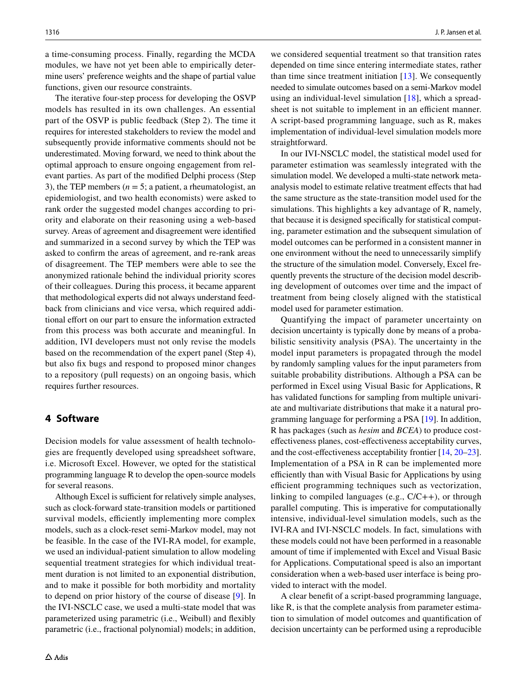a time-consuming process. Finally, regarding the MCDA modules, we have not yet been able to empirically determine users' preference weights and the shape of partial value functions, given our resource constraints.

The iterative four-step process for developing the OSVP models has resulted in its own challenges. An essential part of the OSVP is public feedback (Step 2). The time it requires for interested stakeholders to review the model and subsequently provide informative comments should not be underestimated. Moving forward, we need to think about the optimal approach to ensure ongoing engagement from relevant parties. As part of the modifed Delphi process (Step 3), the TEP members ( $n = 5$ ; a patient, a rheumatologist, an epidemiologist, and two health economists) were asked to rank order the suggested model changes according to priority and elaborate on their reasoning using a web-based survey. Areas of agreement and disagreement were identifed and summarized in a second survey by which the TEP was asked to confrm the areas of agreement, and re-rank areas of disagreement. The TEP members were able to see the anonymized rationale behind the individual priority scores of their colleagues. During this process, it became apparent that methodological experts did not always understand feedback from clinicians and vice versa, which required additional effort on our part to ensure the information extracted from this process was both accurate and meaningful. In addition, IVI developers must not only revise the models based on the recommendation of the expert panel (Step 4), but also fx bugs and respond to proposed minor changes to a repository (pull requests) on an ongoing basis, which requires further resources.

#### **4 Software**

Decision models for value assessment of health technologies are frequently developed using spreadsheet software, i.e. Microsoft Excel. However, we opted for the statistical programming language R to develop the open-source models for several reasons.

Although Excel is sufficient for relatively simple analyses, such as clock-forward state-transition models or partitioned survival models, efficiently implementing more complex models, such as a clock-reset semi-Markov model, may not be feasible. In the case of the IVI-RA model, for example, we used an individual-patient simulation to allow modeling sequential treatment strategies for which individual treatment duration is not limited to an exponential distribution, and to make it possible for both morbidity and mortality to depend on prior history of the course of disease [[9\]](#page-6-6). In the IVI-NSCLC case, we used a multi-state model that was parameterized using parametric (i.e., Weibull) and fexibly parametric (i.e., fractional polynomial) models; in addition,

we considered sequential treatment so that transition rates depended on time since entering intermediate states, rather than time since treatment initiation  $[13]$  $[13]$ . We consequently needed to simulate outcomes based on a semi-Markov model using an individual-level simulation [\[18](#page-7-0)], which a spreadsheet is not suitable to implement in an efficient manner. A script-based programming language, such as R, makes implementation of individual-level simulation models more straightforward.

In our IVI-NSCLC model, the statistical model used for parameter estimation was seamlessly integrated with the simulation model. We developed a multi-state network metaanalysis model to estimate relative treatment efects that had the same structure as the state-transition model used for the simulations. This highlights a key advantage of R, namely, that because it is designed specifcally for statistical computing, parameter estimation and the subsequent simulation of model outcomes can be performed in a consistent manner in one environment without the need to unnecessarily simplify the structure of the simulation model. Conversely, Excel frequently prevents the structure of the decision model describing development of outcomes over time and the impact of treatment from being closely aligned with the statistical model used for parameter estimation.

Quantifying the impact of parameter uncertainty on decision uncertainty is typically done by means of a probabilistic sensitivity analysis (PSA). The uncertainty in the model input parameters is propagated through the model by randomly sampling values for the input parameters from suitable probability distributions. Although a PSA can be performed in Excel using Visual Basic for Applications, R has validated functions for sampling from multiple univariate and multivariate distributions that make it a natural programming language for performing a PSA [[19\]](#page-7-1). In addition, R has packages (such as *hesim* and *BCEA*) to produce costefectiveness planes, cost-efectiveness acceptability curves, and the cost-efectiveness acceptability frontier [[14,](#page-6-10) [20](#page-7-2)[–23](#page-7-3)]. Implementation of a PSA in R can be implemented more efficiently than with Visual Basic for Applications by using efficient programming techniques such as vectorization, linking to compiled languages (e.g., C/C++), or through parallel computing. This is imperative for computationally intensive, individual-level simulation models, such as the IVI-RA and IVI-NSCLC models. In fact, simulations with these models could not have been performed in a reasonable amount of time if implemented with Excel and Visual Basic for Applications. Computational speed is also an important consideration when a web-based user interface is being provided to interact with the model.

A clear beneft of a script-based programming language, like R, is that the complete analysis from parameter estimation to simulation of model outcomes and quantifcation of decision uncertainty can be performed using a reproducible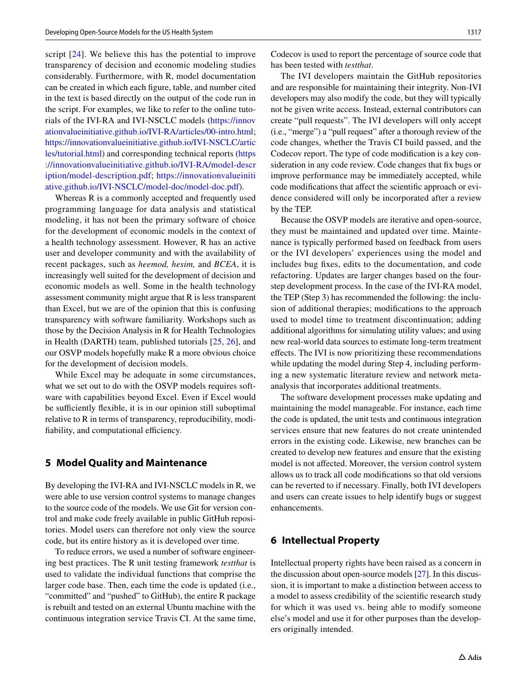script [\[24\]](#page-7-4). We believe this has the potential to improve transparency of decision and economic modeling studies considerably. Furthermore, with R, model documentation can be created in which each fgure, table, and number cited in the text is based directly on the output of the code run in the script. For examples, we like to refer to the online tutorials of the IVI-RA and IVI-NSCLC models ([https://innov](https://innovationvalueinitiative.github.io/IVI-RA/articles/00-intro.html) [ationvalueinitiative.github.io/IVI-RA/articles/00-intro.html](https://innovationvalueinitiative.github.io/IVI-RA/articles/00-intro.html); [https://innovationvalueinitiative.github.io/IVI-NSCLC/artic](https://innovationvalueinitiative.github.io/IVI-NSCLC/articles/tutorial.html) [les/tutorial.html](https://innovationvalueinitiative.github.io/IVI-NSCLC/articles/tutorial.html)) and corresponding technical reports ([https](https://innovationvalueinitiative.github.io/IVI-RA/model-description/model-description.pdf) [://innovationvalueinitiative.github.io/IVI-RA/model-descr](https://innovationvalueinitiative.github.io/IVI-RA/model-description/model-description.pdf) [iption/model-description.pdf;](https://innovationvalueinitiative.github.io/IVI-RA/model-description/model-description.pdf) [https://innovationvalueiniti](https://innovationvalueinitiative.github.io/IVI-NSCLC/model-doc/model-doc.pdf) [ative.github.io/IVI-NSCLC/model-doc/model-doc.pdf](https://innovationvalueinitiative.github.io/IVI-NSCLC/model-doc/model-doc.pdf)).

Whereas R is a commonly accepted and frequently used programming language for data analysis and statistical modeling, it has not been the primary software of choice for the development of economic models in the context of a health technology assessment. However, R has an active user and developer community and with the availability of recent packages, such as *heemod, hesim,* and *BCEA*, it is increasingly well suited for the development of decision and economic models as well. Some in the health technology assessment community might argue that R is less transparent than Excel, but we are of the opinion that this is confusing transparency with software familiarity. Workshops such as those by the Decision Analysis in R for Health Technologies in Health (DARTH) team, published tutorials [[25,](#page-7-5) [26](#page-7-6)], and our OSVP models hopefully make R a more obvious choice for the development of decision models.

While Excel may be adequate in some circumstances, what we set out to do with the OSVP models requires software with capabilities beyond Excel. Even if Excel would be sufficiently flexible, it is in our opinion still suboptimal relative to R in terms of transparency, reproducibility, modifiability, and computational efficiency.

### **5 Model Quality and Maintenance**

By developing the IVI-RA and IVI-NSCLC models in R, we were able to use version control systems to manage changes to the source code of the models. We use Git for version control and make code freely available in public GitHub repositories. Model users can therefore not only view the source code, but its entire history as it is developed over time.

To reduce errors, we used a number of software engineering best practices. The R unit testing framework *testthat* is used to validate the individual functions that comprise the larger code base. Then, each time the code is updated (i.e., "committed" and "pushed" to GitHub), the entire R package is rebuilt and tested on an external Ubuntu machine with the continuous integration service Travis CI. At the same time,

Codecov is used to report the percentage of source code that has been tested with *testthat*.

The IVI developers maintain the GitHub repositories and are responsible for maintaining their integrity. Non-IVI developers may also modify the code, but they will typically not be given write access. Instead, external contributors can create "pull requests". The IVI developers will only accept (i.e., "merge") a "pull request" after a thorough review of the code changes, whether the Travis CI build passed, and the Codecov report. The type of code modifcation is a key consideration in any code review. Code changes that fx bugs or improve performance may be immediately accepted, while code modifcations that afect the scientifc approach or evidence considered will only be incorporated after a review by the TEP.

Because the OSVP models are iterative and open-source, they must be maintained and updated over time. Maintenance is typically performed based on feedback from users or the IVI developers' experiences using the model and includes bug fxes, edits to the documentation, and code refactoring. Updates are larger changes based on the fourstep development process. In the case of the IVI-RA model, the TEP (Step 3) has recommended the following: the inclusion of additional therapies; modifcations to the approach used to model time to treatment discontinuation; adding additional algorithms for simulating utility values; and using new real-world data sources to estimate long-term treatment efects. The IVI is now prioritizing these recommendations while updating the model during Step 4, including performing a new systematic literature review and network metaanalysis that incorporates additional treatments.

The software development processes make updating and maintaining the model manageable. For instance, each time the code is updated, the unit tests and continuous integration services ensure that new features do not create unintended errors in the existing code. Likewise, new branches can be created to develop new features and ensure that the existing model is not afected. Moreover, the version control system allows us to track all code modifcations so that old versions can be reverted to if necessary. Finally, both IVI developers and users can create issues to help identify bugs or suggest enhancements.

### **6 Intellectual Property**

Intellectual property rights have been raised as a concern in the discussion about open-source models [[27\]](#page-7-7). In this discussion, it is important to make a distinction between access to a model to assess credibility of the scientifc research study for which it was used vs. being able to modify someone else's model and use it for other purposes than the developers originally intended.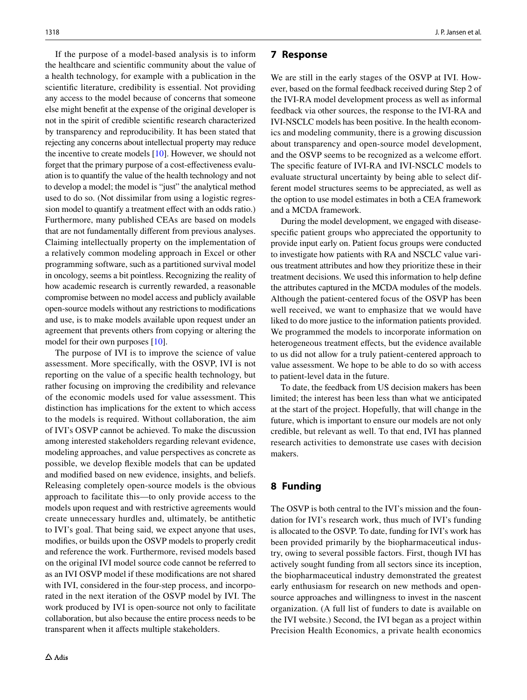If the purpose of a model-based analysis is to inform the healthcare and scientifc community about the value of a health technology, for example with a publication in the scientifc literature, credibility is essential. Not providing any access to the model because of concerns that someone else might beneft at the expense of the original developer is not in the spirit of credible scientifc research characterized by transparency and reproducibility. It has been stated that rejecting any concerns about intellectual property may reduce the incentive to create models [\[10](#page-6-7)]. However, we should not forget that the primary purpose of a cost-efectiveness evaluation is to quantify the value of the health technology and not to develop a model; the model is "just" the analytical method used to do so. (Not dissimilar from using a logistic regression model to quantify a treatment effect with an odds ratio.) Furthermore, many published CEAs are based on models that are not fundamentally diferent from previous analyses. Claiming intellectually property on the implementation of a relatively common modeling approach in Excel or other programming software, such as a partitioned survival model in oncology, seems a bit pointless. Recognizing the reality of how academic research is currently rewarded, a reasonable compromise between no model access and publicly available open-source models without any restrictions to modifcations and use, is to make models available upon request under an agreement that prevents others from copying or altering the model for their own purposes [[10\]](#page-6-7).

The purpose of IVI is to improve the science of value assessment. More specifcally, with the OSVP, IVI is not reporting on the value of a specifc health technology, but rather focusing on improving the credibility and relevance of the economic models used for value assessment. This distinction has implications for the extent to which access to the models is required. Without collaboration, the aim of IVI's OSVP cannot be achieved. To make the discussion among interested stakeholders regarding relevant evidence, modeling approaches, and value perspectives as concrete as possible, we develop fexible models that can be updated and modifed based on new evidence, insights, and beliefs. Releasing completely open-source models is the obvious approach to facilitate this—to only provide access to the models upon request and with restrictive agreements would create unnecessary hurdles and, ultimately, be antithetic to IVI's goal. That being said, we expect anyone that uses, modifes, or builds upon the OSVP models to properly credit and reference the work. Furthermore, revised models based on the original IVI model source code cannot be referred to as an IVI OSVP model if these modifcations are not shared with IVI, considered in the four-step process, and incorporated in the next iteration of the OSVP model by IVI. The work produced by IVI is open-source not only to facilitate collaboration, but also because the entire process needs to be transparent when it afects multiple stakeholders.

#### **7 Response**

We are still in the early stages of the OSVP at IVI. However, based on the formal feedback received during Step 2 of the IVI-RA model development process as well as informal feedback via other sources, the response to the IVI-RA and IVI-NSCLC models has been positive. In the health economics and modeling community, there is a growing discussion about transparency and open-source model development, and the OSVP seems to be recognized as a welcome efort. The specifc feature of IVI-RA and IVI-NSCLC models to evaluate structural uncertainty by being able to select different model structures seems to be appreciated, as well as the option to use model estimates in both a CEA framework and a MCDA framework.

During the model development, we engaged with diseasespecifc patient groups who appreciated the opportunity to provide input early on. Patient focus groups were conducted to investigate how patients with RA and NSCLC value various treatment attributes and how they prioritize these in their treatment decisions. We used this information to help defne the attributes captured in the MCDA modules of the models. Although the patient-centered focus of the OSVP has been well received, we want to emphasize that we would have liked to do more justice to the information patients provided. We programmed the models to incorporate information on heterogeneous treatment effects, but the evidence available to us did not allow for a truly patient-centered approach to value assessment. We hope to be able to do so with access to patient-level data in the future.

To date, the feedback from US decision makers has been limited; the interest has been less than what we anticipated at the start of the project. Hopefully, that will change in the future, which is important to ensure our models are not only credible, but relevant as well. To that end, IVI has planned research activities to demonstrate use cases with decision makers.

## **8 Funding**

The OSVP is both central to the IVI's mission and the foundation for IVI's research work, thus much of IVI's funding is allocated to the OSVP. To date, funding for IVI's work has been provided primarily by the biopharmaceutical industry, owing to several possible factors. First, though IVI has actively sought funding from all sectors since its inception, the biopharmaceutical industry demonstrated the greatest early enthusiasm for research on new methods and opensource approaches and willingness to invest in the nascent organization. (A full list of funders to date is available on the IVI website.) Second, the IVI began as a project within Precision Health Economics, a private health economics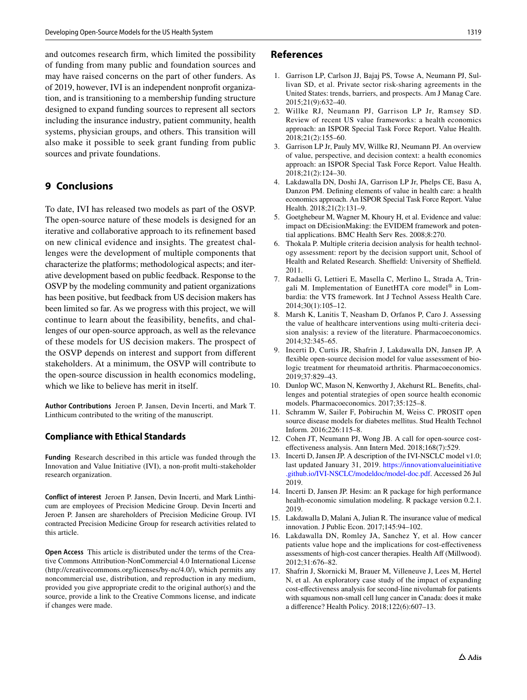and outcomes research frm, which limited the possibility of funding from many public and foundation sources and may have raised concerns on the part of other funders. As of 2019, however, IVI is an independent nonproft organization, and is transitioning to a membership funding structure designed to expand funding sources to represent all sectors including the insurance industry, patient community, health systems, physician groups, and others. This transition will also make it possible to seek grant funding from public sources and private foundations.

### **9 Conclusions**

To date, IVI has released two models as part of the OSVP. The open-source nature of these models is designed for an iterative and collaborative approach to its refnement based on new clinical evidence and insights. The greatest challenges were the development of multiple components that characterize the platforms; methodological aspects; and iterative development based on public feedback. Response to the OSVP by the modeling community and patient organizations has been positive, but feedback from US decision makers has been limited so far. As we progress with this project, we will continue to learn about the feasibility, benefts, and challenges of our open-source approach, as well as the relevance of these models for US decision makers. The prospect of the OSVP depends on interest and support from diferent stakeholders. At a minimum, the OSVP will contribute to the open-source discussion in health economics modeling, which we like to believe has merit in itself.

**Author Contributions** Jeroen P. Jansen, Devin Incerti, and Mark T. Linthicum contributed to the writing of the manuscript.

#### **Compliance with Ethical Standards**

**Funding** Research described in this article was funded through the Innovation and Value Initiative (IVI), a non-proft multi-stakeholder research organization.

**Conflict of interest** Jeroen P. Jansen, Devin Incerti, and Mark Linthicum are employees of Precision Medicine Group. Devin Incerti and Jeroen P. Jansen are shareholders of Precision Medicine Group. IVI contracted Precision Medicine Group for research activities related to this article.

**Open Access** This article is distributed under the terms of the Creative Commons Attribution-NonCommercial 4.0 International License (http://creativecommons.org/licenses/by-nc/4.0/), which permits any noncommercial use, distribution, and reproduction in any medium, provided you give appropriate credit to the original author(s) and the source, provide a link to the Creative Commons license, and indicate if changes were made.

#### **References**

- <span id="page-6-0"></span>1. Garrison LP, Carlson JJ, Bajaj PS, Towse A, Neumann PJ, Sullivan SD, et al. Private sector risk-sharing agreements in the United States: trends, barriers, and prospects. Am J Manag Care. 2015;21(9):632–40.
- <span id="page-6-1"></span>2. Willke RJ, Neumann PJ, Garrison LP Jr, Ramsey SD. Review of recent US value frameworks: a health economics approach: an ISPOR Special Task Force Report. Value Health. 2018;21(2):155–60.
- <span id="page-6-2"></span>3. Garrison LP Jr, Pauly MV, Willke RJ, Neumann PJ. An overview of value, perspective, and decision context: a health economics approach: an ISPOR Special Task Force Report. Value Health. 2018;21(2):124–30.
- <span id="page-6-3"></span>4. Lakdawalla DN, Doshi JA, Garrison LP Jr, Phelps CE, Basu A, Danzon PM. Defning elements of value in health care: a health economics approach. An ISPOR Special Task Force Report. Value Health. 2018;21(2):131–9.
- <span id="page-6-4"></span>5. Goetghebeur M, Wagner M, Khoury H, et al. Evidence and value: impact on DEcisionMaking: the EVIDEM framework and potential applications. BMC Health Serv Res. 2008;8:270.
- 6. Thokala P. Multiple criteria decision analysis for health technology assessment: report by the decision support unit, School of Health and Related Research. Sheffield: University of Sheffield. 2011.
- 7. Radaelli G, Lettieri E, Masella C, Merlino L, Strada A, Tringali M. Implementation of EunetHTA core model® in Lombardia: the VTS framework. Int J Technol Assess Health Care. 2014;30(1):105–12.
- <span id="page-6-5"></span>8. Marsh K, Lanitis T, Neasham D, Orfanos P, Caro J. Assessing the value of healthcare interventions using multi-criteria decision analysis: a review of the literature. Pharmacoeconomics. 2014;32:345–65.
- <span id="page-6-6"></span>9. Incerti D, Curtis JR, Shafrin J, Lakdawalla DN, Jansen JP. A fexible open-source decision model for value assessment of biologic treatment for rheumatoid arthritis. Pharmacoeconomics. 2019;37:829–43.
- <span id="page-6-7"></span>10. Dunlop WC, Mason N, Kenworthy J, Akehurst RL. Benefts, challenges and potential strategies of open source health economic models. Pharmacoeconomics. 2017;35:125–8.
- 11. Schramm W, Sailer F, Pobiruchin M, Weiss C. PROSIT open source disease models for diabetes mellitus. Stud Health Technol Inform. 2016;226:115–8.
- <span id="page-6-8"></span>12. Cohen JT, Neumann PJ, Wong JB. A call for open-source costefectiveness analysis. Ann Intern Med. 2018;168(7):529.
- <span id="page-6-9"></span>13. Incerti D, Jansen JP. A description of the IVI-NSCLC model v1.0; last updated January 31, 2019. [https://innovationvalueinitiative](https://innovationvalueinitiative.github.io/IVI-NSCLC/modeldoc/model-doc.pdf) [.github.io/IVI-NSCLC/modeldoc/model-doc.pdf.](https://innovationvalueinitiative.github.io/IVI-NSCLC/modeldoc/model-doc.pdf) Accessed 26 Jul 2019.
- <span id="page-6-10"></span>14. Incerti D, Jansen JP. Hesim: an R package for high performance health-economic simulation modeling. R package version 0.2.1. 2019.
- <span id="page-6-11"></span>15. Lakdawalla D, Malani A, Julian R. The insurance value of medical innovation. J Public Econ. 2017;145:94–102.
- <span id="page-6-12"></span>16. Lakdawalla DN, Romley JA, Sanchez Y, et al. How cancer patients value hope and the implications for cost-efectiveness assessments of high-cost cancer therapies. Health Aff (Millwood). 2012;31:676–82.
- <span id="page-6-13"></span>17. Shafrin J, Skornicki M, Brauer M, Villeneuve J, Lees M, Hertel N, et al. An exploratory case study of the impact of expanding cost-efectiveness analysis for second-line nivolumab for patients with squamous non-small cell lung cancer in Canada: does it make a diference? Health Policy. 2018;122(6):607–13.